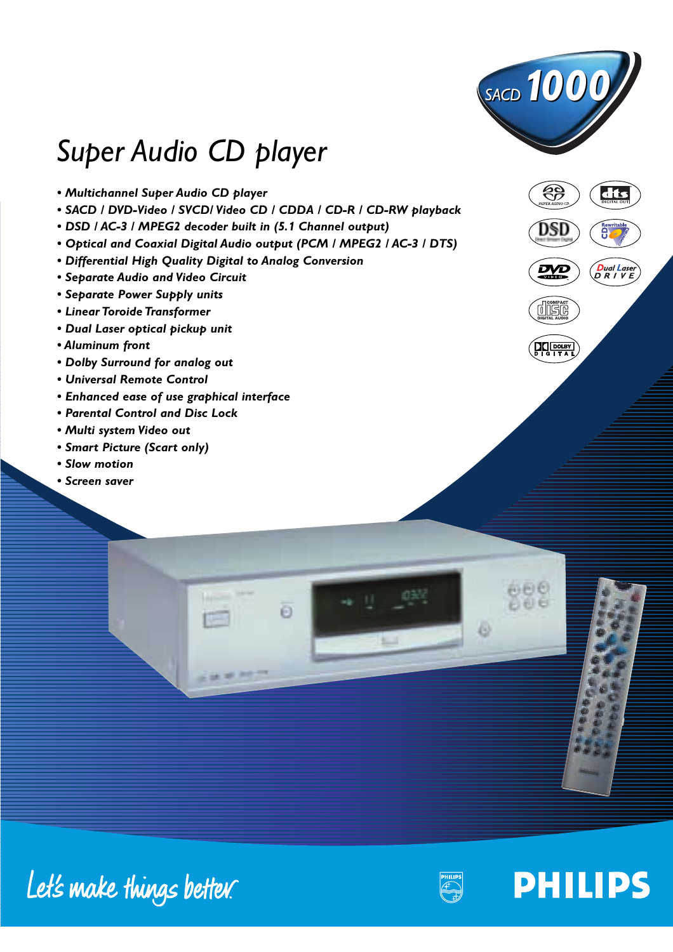

සි

## *Super Audio CD player*

- *Multichannel Super Audio CD player*
- *SACD / DVD-Video / SVCD/ Video CD / CDDA / CD-R / CD-RW playback*
- *DSD / AC-3 / MPEG2 decoder built in (5.1 Channel output)*
- *Optical and Coaxial Digital Audio output (PCM / MPEG2 / AC-3 / DTS)*
- *Differential High Quality Digital to Analog Conversion*
- *Separate Audio and Video Circuit*
- *Separate Power Supply units*
- *Linear Toroide Transformer*
- *Dual Laser optical pickup unit*
- *Aluminum front*
- *Dolby Surround for analog out*
- *Universal Remote Control*
- *Enhanced ease of use graphical interface*
- *Parental Control and Disc Lock*
- *Multi system Video out*
- *Smart Picture (Scart only)*
- *Slow motion*
- *Screen saver*



dts



D

# Let's make things better.